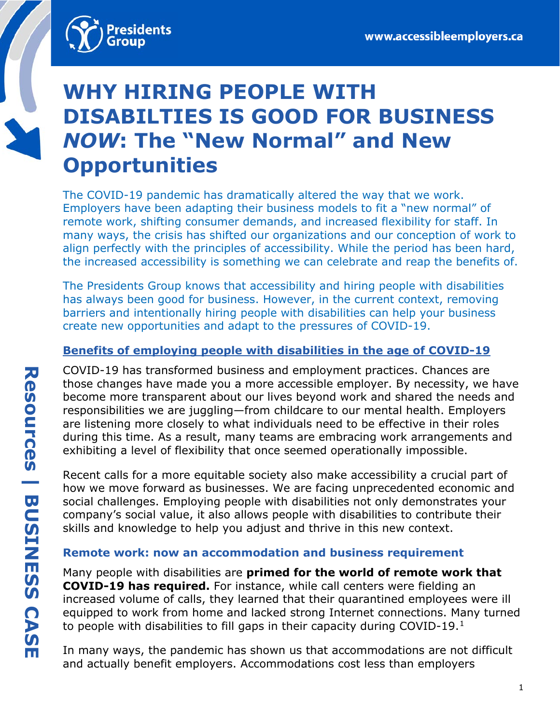

# **WHY HIRING PEOPLE WITH DISABILTIES IS GOOD FOR BUSINESS**  *NOW***: The "New Normal" and New Opportunities**

The COVID-19 pandemic has dramatically altered the way that we work. Employers have been adapting their business models to fit a "new normal" of remote work, shifting consumer demands, and increased flexibility for staff. In many ways, the crisis has shifted our organizations and our conception of work to align perfectly with the principles of accessibility. While the period has been hard, the increased accessibility is something we can celebrate and reap the benefits of.

The Presidents Group knows that accessibility and hiring people with disabilities has always been good for business. However, in the current context, removing barriers and intentionally hiring people with disabilities can help your business create new opportunities and adapt to the pressures of COVID-19.

## **Benefits of employing people with disabilities in the age of COVID-19**

COVID-19 has transformed business and employment practices. Chances are those changes have made you a more accessible employer. By necessity, we have become more transparent about our lives beyond work and shared the needs and responsibilities we are juggling—from childcare to our mental health. Employers are listening more closely to what individuals need to be effective in their roles during this time. As a result, many teams are embracing work arrangements and exhibiting a level of flexibility that once seemed operationally impossible.

Recent calls for a more equitable society also make accessibility a crucial part of how we move forward as businesses. We are facing unprecedented economic and social challenges. Employing people with disabilities not only demonstrates your company's social value, it also allows people with disabilities to contribute their skills and knowledge to help you adjust and thrive in this new context.

#### **Remote work: now an accommodation and business requirement**

Many people with disabilities are **primed for the world of remote work that COVID-19 has required.** For instance, while call centers were fielding an increased volume of calls, they learned that their quarantined employees were ill equipped to work from home and lacked strong Internet connections. Many turned to people with disabilities to fill gaps in their capacity during COVID-19.[1](#page-3-0)

<span id="page-0-0"></span>In many ways, the pandemic has shown us that accommodations are not difficult and actually benefit employers. Accommodations cost less than employers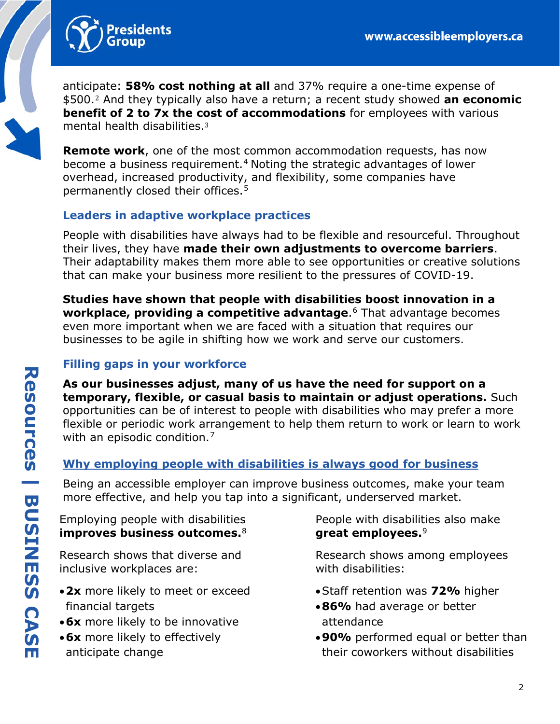<span id="page-1-6"></span>

<span id="page-1-0"></span>antici[pa](#page-3-1)te: **58% cost nothing at all** and 37% require a one-time expense of \$500.<sup>2</sup> And they typically also have a return; a recent study showed **an economic benefit [o](#page-3-2)f 2 to 7x the cost of accommodations** for employees with various mental health disabilities.<sup>3</sup>

<span id="page-1-1"></span>**Remote work**, one of the most common accommodation requests, has now become a business requirement.[4](#page-3-3) Noting the strategic advantages of lower overhead, increased productivity, and flexibility, some companies have permanently closed their offices.[5](#page-3-4)

### <span id="page-1-2"></span>**Leaders in adaptive workplace practices**

People with disabilities have always had to be flexible and resourceful. Throughout their lives, they have **made their own adjustments to overcome barriers**. Their adaptability makes them more able to see opportunities or creative solutions that can make your business more resilient to the pressures of COVID-19.

**Studies have shown that people with disabilities boost innovation in a workplace, providing a competitive advantage**.[6](#page-3-5) That advantage becomes even more important when we are faced with a situation that requires our businesses to be agile in shifting how we work and serve our customers.

## **Filling gaps in your workforce**

**As our businesses adjust, many of us have the need for support on a temporary, flexible, or casual basis to maintain or adjust operations.** Such opportunities can be of interest to people with disabilities who may prefer a more flexible or periodic work arrangement to help them return to work or learn to work with an episodic condition.<sup>[7](#page-3-6)</sup>

#### **Why employing people with disabilities is always good for business**

Being an accessible employer can improve business outcomes, make your team more effective, and help you tap into a significant, underserved market.

Employing people with disabilities **improves business outcomes.**[8](#page-3-7)

Research shows that diverse and inclusive workplaces are:

- •**2x** more likely to meet or exceed financial targets
- •**6x** more likely to be innovative
- •**6x** more likely to effectively anticipate change

<span id="page-1-5"></span><span id="page-1-4"></span><span id="page-1-3"></span>People with disabilities also make **great employees.**[9](#page-3-8)

Research shows among employees with disabilities:

- •Staff retention was **72%** higher
- •**86%** had average or better attendance
- •**90%** performed equal or better than their coworkers without disabilities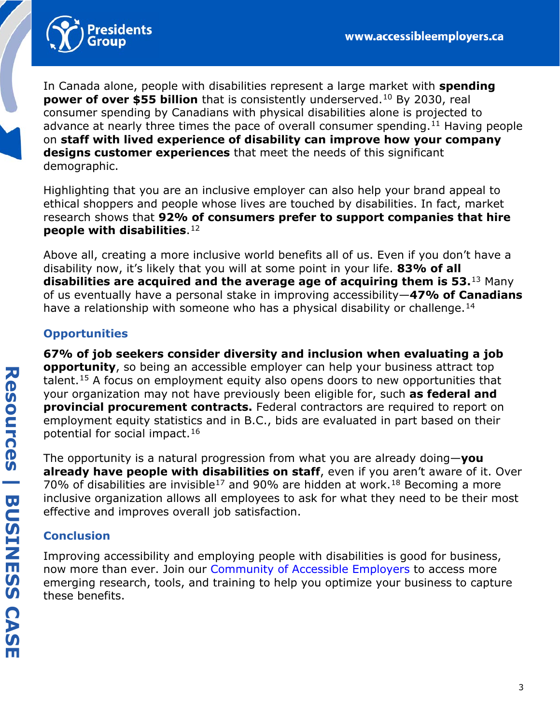

<span id="page-2-1"></span><span id="page-2-0"></span>In Canada alone, people with disabilities represent a large market with **spending power of over \$55 billion** that is consistently underserved.<sup>[10](#page-3-9)</sup> By 2030, real consumer spending by Canadians with physical disabilities alone is projected to advance at nearly three times the pace of overall consumer spending.<sup>[11](#page-3-10)</sup> Having people on **staff with lived experience of disability can improve how your company designs customer experiences** that meet the needs of this significant demographic.

Highlighting that you are an inclusive employer can also help your brand appeal to ethical shoppers and people whose lives are touched by disabilities. In fact, market research shows that **92% of consumers prefer to support companies that hire people with disabilities**.[12](#page-3-11)

<span id="page-2-3"></span><span id="page-2-2"></span>Above all, creating a more inclusive world benefits all of us. Even if you don't have a disability now, it's likely that you will at some point in your life. **83% of all disabilities are acquired and the average age of acquiring them is 53.**[13](#page-3-12) Many of us eventually have a personal stake in improving accessibility—**47% of Canadians**  have a relationship with someone who has a physical disability or challenge.<sup>[14](#page-3-13)</sup>

## <span id="page-2-4"></span>**Opportunities**

<span id="page-2-5"></span>**67% of job seekers consider diversity and inclusion when evaluating a job opportunity**, so being an accessible employer can help your business attract top talent.[15](#page-3-14) A focus on employment equity also opens doors to new opportunities that your organization may not have previously been eligible for, such **as federal and provincial procurement contracts.** Federal contractors are required to report on employment equity statistics and in B.C., bids are evaluated in part based on their potential for social impact.[16](#page-3-15)

<span id="page-2-8"></span><span id="page-2-7"></span><span id="page-2-6"></span>The opportunity is a natural progression from what you are already doing—**you already have people with disabilities on staff**, even if you aren't aware of it. Over 70% of disabilities are invisible<sup>[17](#page-3-16)</sup> and 90% are hidden at work.<sup>[18](#page-3-17)</sup> Becoming a more inclusive organization allows all employees to ask for what they need to be their most effective and improves overall job satisfaction.

# **Conclusion**

Improving accessibility and employing people with disabilities is good for business, now more than ever. Join our [Community of Accessible Employers](https://accessibleemployers.ca/join/) to access more emerging research, tools, and training to help you optimize your business to capture these benefits.